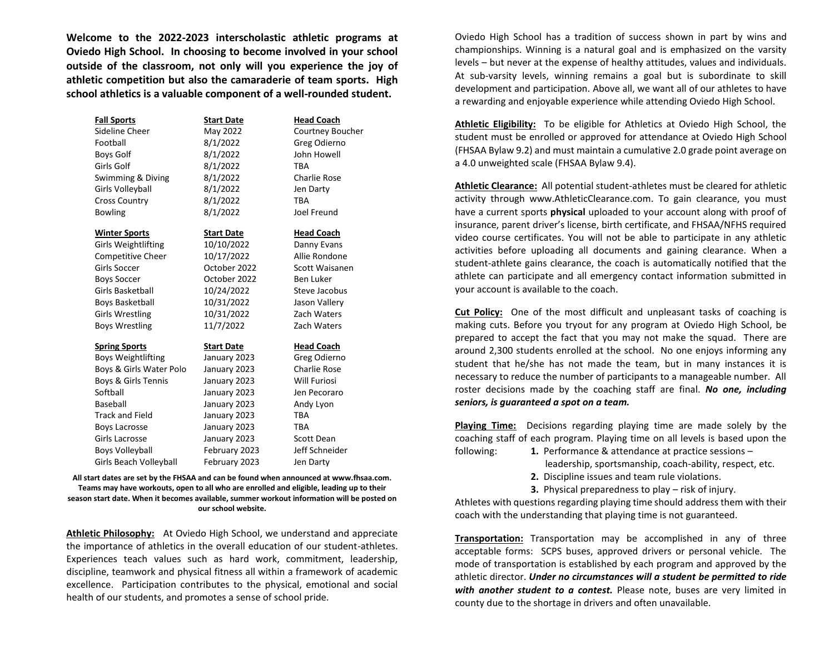**Welcome to the 2022-2023 interscholastic athletic programs at Oviedo High School. In choosing to become involved in your school outside of the classroom, not only will you experience the joy of athletic competition but also the camaraderie of team sports. High school athletics is a valuable component of a well-rounded student.** 

| <b>Fall Sports</b>        | <b>Start Date</b> | <b>Head Coach</b>   |
|---------------------------|-------------------|---------------------|
| Sideline Cheer            | May 2022          | Courtney Boucher    |
| Football                  | 8/1/2022          | Greg Odierno        |
| <b>Boys Golf</b>          | 8/1/2022          | John Howell         |
| Girls Golf                | 8/1/2022          | TBA                 |
| Swimming & Diving         | 8/1/2022          | <b>Charlie Rose</b> |
| Girls Volleyball          | 8/1/2022          | Jen Darty           |
| <b>Cross Country</b>      | 8/1/2022          | TBA                 |
| <b>Bowling</b>            | 8/1/2022          | Joel Freund         |
| <b>Winter Sports</b>      | <b>Start Date</b> | <b>Head Coach</b>   |
| Girls Weightlifting       | 10/10/2022        | Danny Evans         |
| Competitive Cheer         | 10/17/2022        | Allie Rondone       |
| Girls Soccer              | October 2022      | Scott Waisanen      |
| <b>Boys Soccer</b>        | October 2022      | Ben Luker           |
| Girls Basketball          | 10/24/2022        | Steve Jacobus       |
| <b>Boys Basketball</b>    | 10/31/2022        | Jason Vallery       |
| <b>Girls Wrestling</b>    | 10/31/2022        | Zach Waters         |
| <b>Boys Wrestling</b>     | 11/7/2022         | Zach Waters         |
| <b>Spring Sports</b>      | <b>Start Date</b> | <b>Head Coach</b>   |
| <b>Boys Weightlifting</b> | January 2023      | Greg Odierno        |
| Boys & Girls Water Polo   | January 2023      | <b>Charlie Rose</b> |
| Boys & Girls Tennis       | January 2023      | <b>Will Furiosi</b> |
| Softball                  | January 2023      | Jen Pecoraro        |
| Baseball                  | January 2023      | Andy Lyon           |
| <b>Track and Field</b>    | January 2023      | <b>TBA</b>          |
| Boys Lacrosse             | January 2023      | TBA                 |
| Girls Lacrosse            | January 2023      | Scott Dean          |
| <b>Boys Volleyball</b>    | February 2023     | Jeff Schneider      |
| Girls Beach Volleyball    | February 2023     | Jen Darty           |

**All start dates are set by the FHSAA and can be found when announced at www.fhsaa.com. Teams may have workouts, open to all who are enrolled and eligible, leading up to their season start date. When it becomes available, summer workout information will be posted on our school website.** 

**Athletic Philosophy:** At Oviedo High School, we understand and appreciate the importance of athletics in the overall education of our student-athletes. Experiences teach values such as hard work, commitment, leadership, discipline, teamwork and physical fitness all within a framework of academic excellence. Participation contributes to the physical, emotional and social health of our students, and promotes a sense of school pride.

Oviedo High School has a tradition of success shown in part by wins and championships. Winning is a natural goal and is emphasized on the varsity levels – but never at the expense of healthy attitudes, values and individuals. At sub-varsity levels, winning remains a goal but is subordinate to skill development and participation. Above all, we want all of our athletes to have a rewarding and enjoyable experience while attending Oviedo High School.

**Athletic Eligibility:** To be eligible for Athletics at Oviedo High School, the student must be enrolled or approved for attendance at Oviedo High School (FHSAA Bylaw 9.2) and must maintain a cumulative 2.0 grade point average on a 4.0 unweighted scale (FHSAA Bylaw 9.4).

**Athletic Clearance:** All potential student-athletes must be cleared for athletic activity through www.AthleticClearance.com. To gain clearance, you must have a current sports **physical** uploaded to your account along with proof of insurance, parent driver's license, birth certificate, and FHSAA/NFHS required video course certificates. You will not be able to participate in any athletic activities before uploading all documents and gaining clearance. When a student-athlete gains clearance, the coach is automatically notified that the athlete can participate and all emergency contact information submitted in your account is available to the coach.

**Cut Policy:** One of the most difficult and unpleasant tasks of coaching is making cuts. Before you tryout for any program at Oviedo High School, be prepared to accept the fact that you may not make the squad. There are around 2,300 students enrolled at the school. No one enjoys informing any student that he/she has not made the team, but in many instances it is necessary to reduce the number of participants to a manageable number. All roster decisions made by the coaching staff are final. *No one, including seniors, is guaranteed a spot on a team.*

**Playing Time:** Decisions regarding playing time are made solely by the coaching staff of each program. Playing time on all levels is based upon the following: **1.** Performance & attendance at practice sessions –

- - leadership, sportsmanship, coach-ability, respect, etc.
- **2.** Discipline issues and team rule violations.
- **3.** Physical preparedness to play risk of injury.

Athletes with questions regarding playing time should address them with their coach with the understanding that playing time is not guaranteed.

**Transportation:** Transportation may be accomplished in any of three acceptable forms: SCPS buses, approved drivers or personal vehicle. The mode of transportation is established by each program and approved by the athletic director. *Under no circumstances will a student be permitted to ride with another student to a contest.* Please note, buses are very limited in county due to the shortage in drivers and often unavailable.